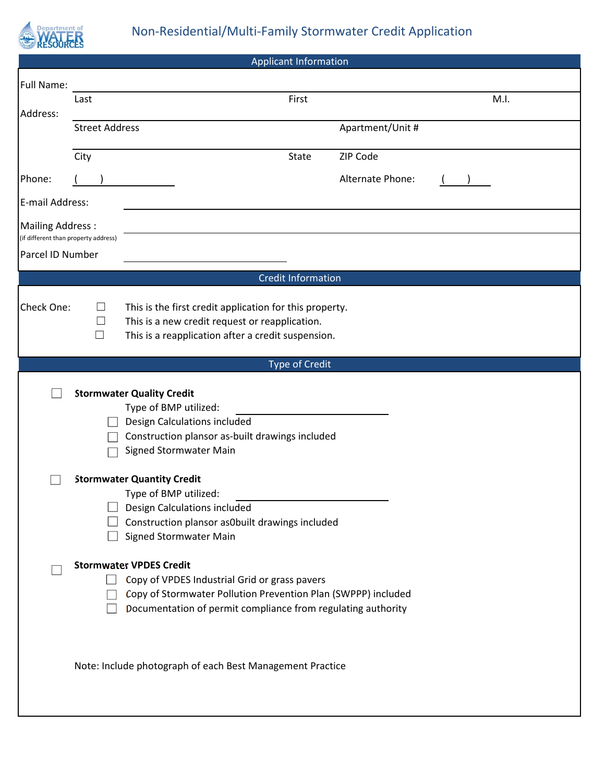

|                                                          |                       |                                   |                              | <b>Applicant Information</b>                                                                         |                                                               |      |
|----------------------------------------------------------|-----------------------|-----------------------------------|------------------------------|------------------------------------------------------------------------------------------------------|---------------------------------------------------------------|------|
| <b>Full Name:</b>                                        |                       |                                   |                              |                                                                                                      |                                                               |      |
|                                                          | Last                  |                                   |                              | First                                                                                                |                                                               | M.I. |
| Address:                                                 | <b>Street Address</b> |                                   |                              |                                                                                                      | Apartment/Unit #                                              |      |
|                                                          |                       |                                   |                              |                                                                                                      |                                                               |      |
|                                                          | City                  |                                   |                              | <b>State</b>                                                                                         | ZIP Code                                                      |      |
| Phone:                                                   |                       |                                   |                              |                                                                                                      | Alternate Phone:                                              |      |
| E-mail Address:                                          |                       |                                   |                              |                                                                                                      |                                                               |      |
| <b>Mailing Address:</b>                                  |                       |                                   |                              |                                                                                                      |                                                               |      |
| (if different than property address)<br>Parcel ID Number |                       |                                   |                              |                                                                                                      |                                                               |      |
|                                                          |                       |                                   |                              |                                                                                                      |                                                               |      |
|                                                          |                       |                                   |                              | <b>Credit Information</b>                                                                            |                                                               |      |
| Check One:                                               | ப                     |                                   |                              | This is the first credit application for this property.                                              |                                                               |      |
|                                                          | $\Box$<br>П           |                                   |                              | This is a new credit request or reapplication.<br>This is a reapplication after a credit suspension. |                                                               |      |
|                                                          |                       |                                   |                              |                                                                                                      |                                                               |      |
|                                                          |                       |                                   |                              | <b>Type of Credit</b>                                                                                |                                                               |      |
|                                                          |                       | <b>Stormwater Quality Credit</b>  |                              |                                                                                                      |                                                               |      |
|                                                          |                       |                                   | Type of BMP utilized:        |                                                                                                      |                                                               |      |
|                                                          |                       |                                   | Design Calculations included |                                                                                                      |                                                               |      |
|                                                          |                       |                                   |                              | Construction plansor as-built drawings included                                                      |                                                               |      |
|                                                          |                       |                                   | Signed Stormwater Main       |                                                                                                      |                                                               |      |
|                                                          |                       | <b>Stormwater Quantity Credit</b> |                              |                                                                                                      |                                                               |      |
|                                                          |                       |                                   | Type of BMP utilized:        |                                                                                                      |                                                               |      |
|                                                          |                       |                                   | Design Calculations included |                                                                                                      |                                                               |      |
|                                                          |                       |                                   | Signed Stormwater Main       | Construction plansor as0built drawings included                                                      |                                                               |      |
|                                                          |                       |                                   |                              |                                                                                                      |                                                               |      |
|                                                          |                       | <b>Stormwater VPDES Credit</b>    |                              |                                                                                                      |                                                               |      |
|                                                          |                       |                                   |                              | Copy of VPDES Industrial Grid or grass pavers                                                        |                                                               |      |
|                                                          |                       |                                   |                              | Documentation of permit compliance from regulating authority                                         | Copy of Stormwater Pollution Prevention Plan (SWPPP) included |      |
|                                                          |                       |                                   |                              | Note: Include photograph of each Best Management Practice                                            |                                                               |      |
|                                                          |                       |                                   |                              |                                                                                                      |                                                               |      |
|                                                          |                       |                                   |                              |                                                                                                      |                                                               |      |